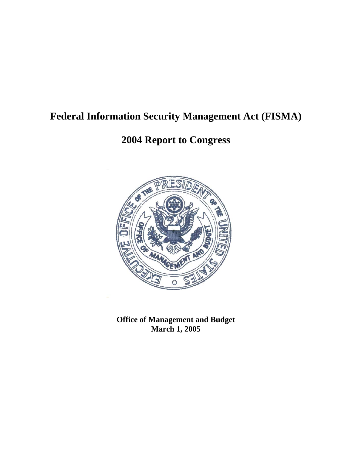# **Federal Information Security Management Act (FISMA)**

# **2004 Report to Congress**



**Office of Management and Budget March 1, 2005**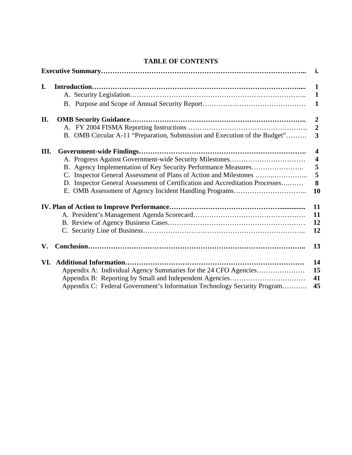|     |                                                                              | i.                                                             |
|-----|------------------------------------------------------------------------------|----------------------------------------------------------------|
| I.  |                                                                              | $\mathbf 1$<br>$\mathbf 1$<br>1                                |
| II. | B. OMB Circular A-11 "Preparation, Submission and Execution of the Budget"   | $\overline{2}$<br>$\overline{2}$<br>3                          |
| Ш.  | D. Inspector General Assessment of Certification and Accreditation Processes | $\overline{4}$<br>$\overline{\mathbf{4}}$<br>5<br>5<br>8<br>10 |
|     |                                                                              | 11<br>11<br>12<br>12                                           |
| V.  |                                                                              | 13                                                             |
|     | Appendix C: Federal Government's Information Technology Security Program     | 14<br>15<br>41<br>45                                           |

# **TABLE OF CONTENTS**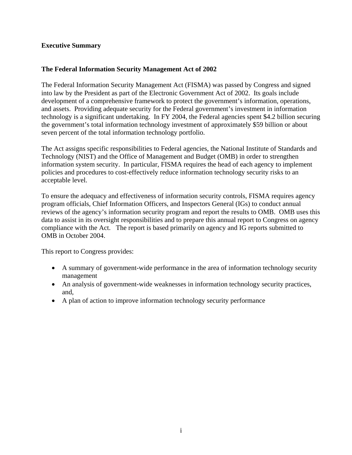# **Executive Summary**

# **The Federal Information Security Management Act of 2002**

The Federal Information Security Management Act (FISMA) was passed by Congress and signed into law by the President as part of the Electronic Government Act of 2002. Its goals include development of a comprehensive framework to protect the government's information, operations, and assets. Providing adequate security for the Federal government's investment in information technology is a significant undertaking. In FY 2004, the Federal agencies spent \$4.2 billion securing the government's total information technology investment of approximately \$59 billion or about seven percent of the total information technology portfolio.

The Act assigns specific responsibilities to Federal agencies, the National Institute of Standards and Technology (NIST) and the Office of Management and Budget (OMB) in order to strengthen information system security. In particular, FISMA requires the head of each agency to implement policies and procedures to cost-effectively reduce information technology security risks to an acceptable level.

To ensure the adequacy and effectiveness of information security controls, FISMA requires agency program officials, Chief Information Officers, and Inspectors General (IGs) to conduct annual reviews of the agency's information security program and report the results to OMB. OMB uses this data to assist in its oversight responsibilities and to prepare this annual report to Congress on agency compliance with the Act. The report is based primarily on agency and IG reports submitted to OMB in October 2004.

This report to Congress provides:

- A summary of government-wide performance in the area of information technology security management
- An analysis of government-wide weaknesses in information technology security practices, and,
- A plan of action to improve information technology security performance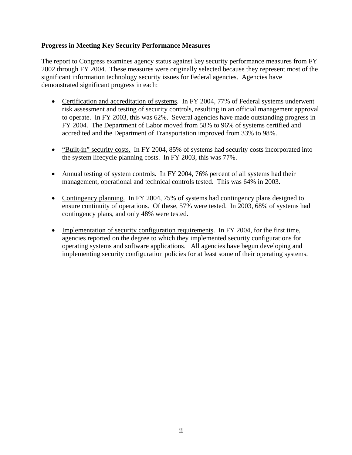# **Progress in Meeting Key Security Performance Measures**

The report to Congress examines agency status against key security performance measures from FY 2002 through FY 2004. These measures were originally selected because they represent most of the significant information technology security issues for Federal agencies. Agencies have demonstrated significant progress in each:

- Certification and accreditation of systems. In FY 2004, 77% of Federal systems underwent risk assessment and testing of security controls, resulting in an official management approval to operate. In FY 2003, this was 62%. Several agencies have made outstanding progress in FY 2004. The Department of Labor moved from 58% to 96% of systems certified and accredited and the Department of Transportation improved from 33% to 98%.
- "Built-in" security costs. In FY 2004, 85% of systems had security costs incorporated into the system lifecycle planning costs. In FY 2003, this was 77%.
- Annual testing of system controls. In FY 2004, 76% percent of all systems had their management, operational and technical controls tested. This was 64% in 2003.
- Contingency planning. In FY 2004, 75% of systems had contingency plans designed to ensure continuity of operations. Of these, 57% were tested. In 2003, 68% of systems had contingency plans, and only 48% were tested.
- Implementation of security configuration requirements. In FY 2004, for the first time, agencies reported on the degree to which they implemented security configurations for operating systems and software applications. All agencies have begun developing and implementing security configuration policies for at least some of their operating systems.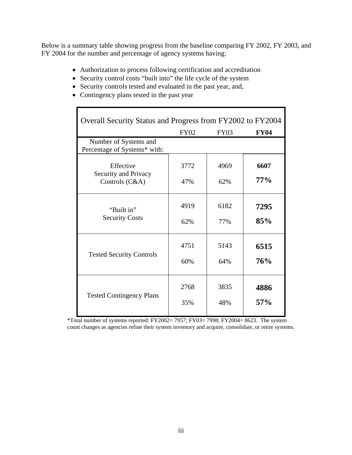Below is a summary table showing progress from the baseline comparing FY 2002, FY 2003, and FY 2004 for the number and percentage of agency systems having:

- Authorization to process following certification and accreditation
- Security control costs "built into" the life cycle of the system
- Security controls tested and evaluated in the past year, and,
- Contingency plans tested in the past year

| Overall Security Status and Progress from FY2002 to FY2004 |             |             |             |
|------------------------------------------------------------|-------------|-------------|-------------|
|                                                            | <b>FY02</b> | <b>FY03</b> | <b>FY04</b> |
| Number of Systems and<br>Percentage of Systems* with:      |             |             |             |
| Effective                                                  | 3772        | 4969        | 6607        |
| Security and Privacy<br>Controls (C&A)                     | 47%         | 62%         | $77\%$      |
| "Built in"                                                 | 4919        | 6182        | 7295        |
| <b>Security Costs</b>                                      | 62%         | 77%         | 85%         |
|                                                            | 4751        | 5143        | 6515        |
| <b>Tested Security Controls</b>                            | 60%         | 64%         | 76%         |
|                                                            | 2768        | 3835        | 4886        |
| <b>Tested Contingency Plans</b>                            | 35%         | 48%         | 57%         |

\*Total number of systems reported: FY2002= 7957; FY03= 7998; FY2004= 8623. The system count changes as agencies refine their system inventory and acquire, consolidate, or retire systems.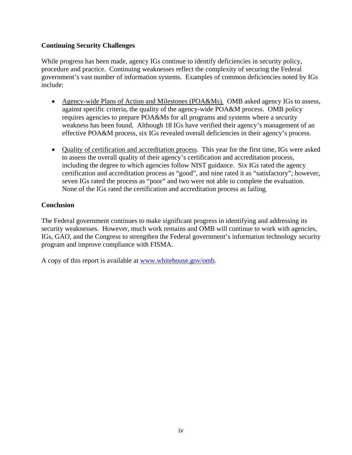# **Continuing Security Challenges**

While progress has been made, agency IGs continue to identify deficiencies in security policy, procedure and practice. Continuing weaknesses reflect the complexity of securing the Federal government's vast number of information systems. Examples of common deficiencies noted by IGs include:

- Agency-wide Plans of Action and Milestones (POA&Ms). OMB asked agency IGs to assess, against specific criteria, the quality of the agency-wide POA&M process. OMB policy requires agencies to prepare POA&Ms for all programs and systems where a security weakness has been found. Although 18 IGs have verified their agency's management of an effective POA&M process, six IGs revealed overall deficiencies in their agency's process.
- Quality of certification and accreditation process*.* This year for the first time, IGs were asked to assess the overall quality of their agency's certification and accreditation process, including the degree to which agencies follow NIST guidance. Six IGs rated the agency certification and accreditation process as "good", and nine rated it as "satisfactory"; however, seven IGs rated the process as "poor" and two were not able to complete the evaluation. None of the IGs rated the certification and accreditation process as failing.

# **Conclusion**

The Federal government continues to make significant progress in identifying and addressing its security weaknesses. However, much work remains and OMB will continue to work with agencies, IGs, GAO, and the Congress to strengthen the Federal government's information technology security program and improve compliance with FISMA.

A copy of this report is available at [www.whitehouse.gov/omb](http://www.whitehouse.gov/omb).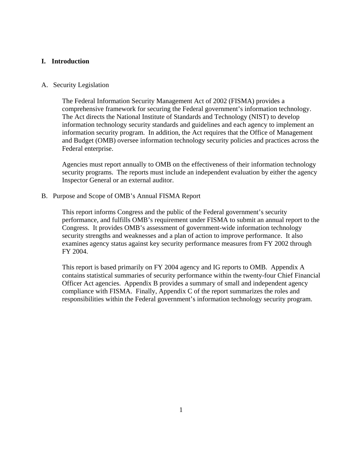## **I. Introduction**

## A. Security Legislation

The Federal Information Security Management Act of 2002 (FISMA) provides a comprehensive framework for securing the Federal government's information technology. The Act directs the National Institute of Standards and Technology (NIST) to develop information technology security standards and guidelines and each agency to implement an information security program. In addition, the Act requires that the Office of Management and Budget (OMB) oversee information technology security policies and practices across the Federal enterprise.

Agencies must report annually to OMB on the effectiveness of their information technology security programs. The reports must include an independent evaluation by either the agency Inspector General or an external auditor.

B. Purpose and Scope of OMB's Annual FISMA Report

This report informs Congress and the public of the Federal government's security performance, and fulfills OMB's requirement under FISMA to submit an annual report to the Congress. It provides OMB's assessment of government-wide information technology security strengths and weaknesses and a plan of action to improve performance. It also examines agency status against key security performance measures from FY 2002 through FY 2004.

This report is based primarily on FY 2004 agency and IG reports to OMB. Appendix A contains statistical summaries of security performance within the twenty-four Chief Financial Officer Act agencies. Appendix B provides a summary of small and independent agency compliance with FISMA. Finally, Appendix C of the report summarizes the roles and responsibilities within the Federal government's information technology security program.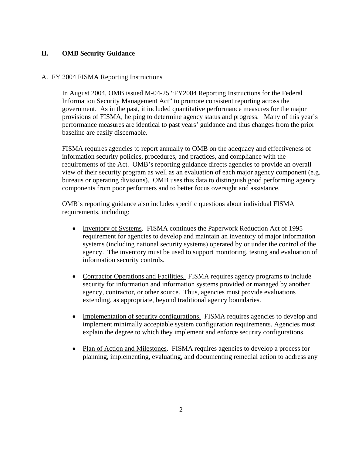# **II. OMB Security Guidance**

## A. FY 2004 FISMA Reporting Instructions

In August 2004, OMB issued M-04-25 "FY2004 Reporting Instructions for the Federal Information Security Management Act" to promote consistent reporting across the government. As in the past, it included quantitative performance measures for the major provisions of FISMA, helping to determine agency status and progress. Many of this year's performance measures are identical to past years' guidance and thus changes from the prior baseline are easily discernable.

FISMA requires agencies to report annually to OMB on the adequacy and effectiveness of information security policies, procedures, and practices, and compliance with the requirements of the Act. OMB's reporting guidance directs agencies to provide an overall view of their security program as well as an evaluation of each major agency component (e.g. bureaus or operating divisions). OMB uses this data to distinguish good performing agency components from poor performers and to better focus oversight and assistance.

OMB's reporting guidance also includes specific questions about individual FISMA requirements, including:

- Inventory of Systems. FISMA continues the Paperwork Reduction Act of 1995 requirement for agencies to develop and maintain an inventory of major information systems (including national security systems) operated by or under the control of the agency. The inventory must be used to support monitoring, testing and evaluation of information security controls.
- Contractor Operations and Facilities. FISMA requires agency programs to include security for information and information systems provided or managed by another agency, contractor, or other source. Thus, agencies must provide evaluations extending, as appropriate, beyond traditional agency boundaries.
- Implementation of security configurations. FISMA requires agencies to develop and implement minimally acceptable system configuration requirements. Agencies must explain the degree to which they implement and enforce security configurations.
- Plan of Action and Milestones. FISMA requires agencies to develop a process for planning, implementing, evaluating, and documenting remedial action to address any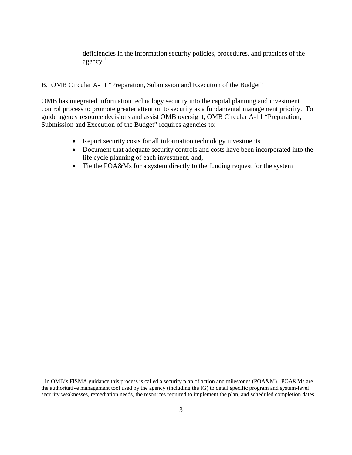deficiencies in the information security policies, procedures, and practices of the agency. [1](#page-8-0)

## B. OMB Circular A-11 "Preparation, Submission and Execution of the Budget"

OMB has integrated information technology security into the capital planning and investment control process to promote greater attention to security as a fundamental management priority. To guide agency resource decisions and assist OMB oversight, OMB Circular A-11 "Preparation, Submission and Execution of the Budget" requires agencies to:

- Report security costs for all information technology investments
- Document that adequate security controls and costs have been incorporated into the life cycle planning of each investment, and,
- Tie the POA&Ms for a system directly to the funding request for the system

 $\overline{\phantom{a}}$ 

<span id="page-8-0"></span><sup>&</sup>lt;sup>1</sup> In OMB's FISMA guidance this process is called a security plan of action and milestones (POA&M). POA&Ms are the authoritative management tool used by the agency (including the IG) to detail specific program and system-level security weaknesses, remediation needs, the resources required to implement the plan, and scheduled completion dates.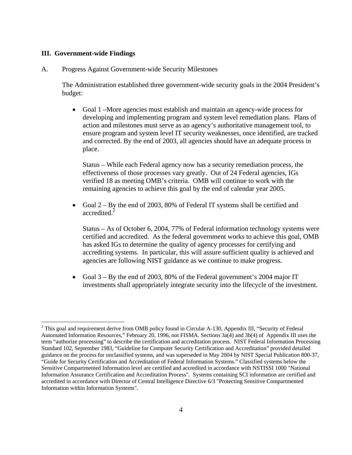## **III. Government-wide Findings**

A. Progress Against Government-wide Security Milestones

The Administration established three government-wide security goals in the 2004 President's budget:

• Goal 1 –More agencies must establish and maintain an agency-wide process for developing and implementing program and system level remediation plans. Plans of action and milestones must serve as an agency's authoritative management tool, to ensure program and system level IT security weaknesses, once identified, are tracked and corrected. By the end of 2003, all agencies should have an adequate process in place.

 Status – While each Federal agency now has a security remediation process, the effectiveness of those processes vary greatly. Out of 24 Federal agencies, IGs verified 18 as meeting OMB's criteria. OMB will continue to work with the remaining agencies to achieve this goal by the end of calendar year 2005.

• Goal 2 – By the end of 2003, 80% of Federal IT systems shall be certified and accredited.<sup>2</sup>

 Status – As of October 6, 2004, 77% of Federal information technology systems were certified and accredited. As the federal government works to achieve this goal, OMB has asked IGs to determine the quality of agency processes for certifying and accrediting systems. In particular, this will assure sufficient quality is achieved and agencies are following NIST guidance as we continue to make progress.

• Goal 3 – By the end of 2003, 80% of the Federal government's 2004 major IT investments shall appropriately integrate security into the lifecycle of the investment.

<span id="page-9-0"></span><sup>&</sup>lt;sup>2</sup> This goal and requirement derive from OMB policy found in Circular A-130, Appendix III, "Security of Federal Automated Information Resources," February 20, 1996, not FISMA. Sections 3a(4) and 3b(4) of Appendix III uses the term "authorize processing" to describe the certification and accreditation process. NIST Federal Information Processing Standard 102, September 1983, "Guideline for Computer Security Certification and Accreditation" provided detailed guidance on the process for unclassified systems, and was superseded in May 2004 by NIST Special Publication 800-37, "Guide for Security Certification and Accreditation of Federal Information Systems." Classified systems below the Sensitive Compartmented Information level are certified and accredited in accordance with NSTISSI 1000 "National Information Assurance Certification and Accreditation Process". Systems containing SCI information are certified and accredited in accordance with Director of Central Intelligence Directive 6/3 "Protecting Sensitive Compartmented Information within Information Systems".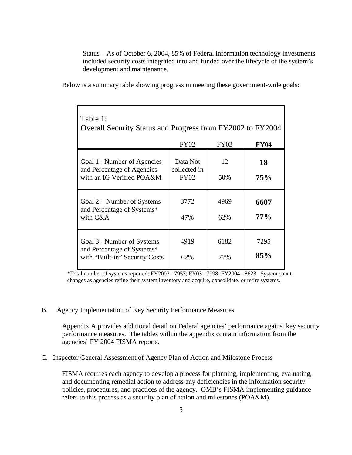Status – As of October 6, 2004, 85% of Federal information technology investments included security costs integrated into and funded over the lifecycle of the system's development and maintenance.

Below is a summary table showing progress in meeting these government-wide goals:

| Table 1:<br>Overall Security Status and Progress from FY2002 to FY2004                    |                                         |             |             |
|-------------------------------------------------------------------------------------------|-----------------------------------------|-------------|-------------|
|                                                                                           | <b>FY02</b>                             | <b>FY03</b> | <b>FY04</b> |
| Goal 1: Number of Agencies<br>and Percentage of Agencies<br>with an IG Verified POA&M     | Data Not<br>collected in<br><b>FY02</b> | 12<br>50%   | 18<br>75%   |
| Goal 2: Number of Systems<br>and Percentage of Systems*<br>with C&A                       | 3772<br>47%                             | 4969<br>62% | 6607<br>77% |
| Goal 3: Number of Systems<br>and Percentage of Systems*<br>with "Built-in" Security Costs | 4919<br>62%                             | 6182<br>77% | 7295<br>85% |

\*Total number of systems reported: FY2002= 7957; FY03= 7998; FY2004= 8623. System count changes as agencies refine their system inventory and acquire, consolidate, or retire systems.

## B. Agency Implementation of Key Security Performance Measures

Appendix A provides additional detail on Federal agencies' performance against key security performance measures. The tables within the appendix contain information from the agencies' FY 2004 FISMA reports.

C. Inspector General Assessment of Agency Plan of Action and Milestone Process

FISMA requires each agency to develop a process for planning, implementing, evaluating, and documenting remedial action to address any deficiencies in the information security policies, procedures, and practices of the agency. OMB's FISMA implementing guidance refers to this process as a security plan of action and milestones (POA&M).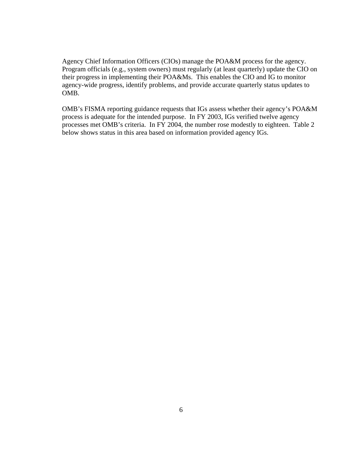Agency Chief Information Officers (CIOs) manage the POA&M process for the agency. Program officials (e.g., system owners) must regularly (at least quarterly) update the CIO on their progress in implementing their POA&Ms. This enables the CIO and IG to monitor agency-wide progress, identify problems, and provide accurate quarterly status updates to OMB.

OMB's FISMA reporting guidance requests that IGs assess whether their agency's POA&M process is adequate for the intended purpose. In FY 2003, IGs verified twelve agency processes met OMB's criteria. In FY 2004, the number rose modestly to eighteen. Table 2 below shows status in this area based on information provided agency IGs.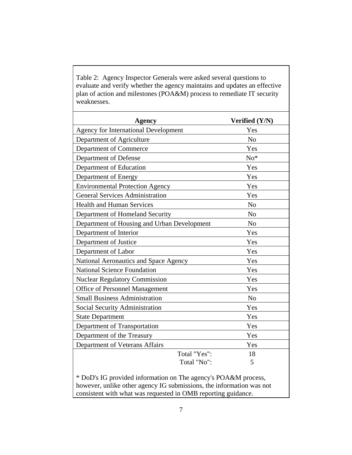Table 2: Agency Inspector Generals were asked several questions to evaluate and verify whether the agency maintains and updates an effective plan of action and milestones (POA&M) process to remediate IT security weaknesses.

| <b>Agency</b>                                                      | Verified (Y/N)  |
|--------------------------------------------------------------------|-----------------|
| <b>Agency for International Development</b>                        | Yes             |
| Department of Agriculture                                          | N <sub>o</sub>  |
| Department of Commerce                                             | Yes             |
| Department of Defense                                              | $\mathrm{No}^*$ |
| Department of Education                                            | Yes             |
| Department of Energy                                               | Yes             |
| <b>Environmental Protection Agency</b>                             | Yes             |
| <b>General Services Administration</b>                             | Yes             |
| <b>Health and Human Services</b>                                   | N <sub>o</sub>  |
| Department of Homeland Security                                    | N <sub>o</sub>  |
| Department of Housing and Urban Development                        | N <sub>o</sub>  |
| Department of Interior                                             | Yes             |
| Department of Justice                                              | Yes             |
| Department of Labor                                                | Yes             |
| National Aeronautics and Space Agency                              | Yes             |
| <b>National Science Foundation</b>                                 | Yes             |
| <b>Nuclear Regulatory Commission</b>                               | Yes             |
| Office of Personnel Management                                     | Yes             |
| <b>Small Business Administration</b>                               | N <sub>o</sub>  |
| Social Security Administration                                     | Yes             |
| <b>State Department</b>                                            | Yes             |
| Department of Transportation                                       | Yes             |
| Department of the Treasury                                         | Yes             |
| Department of Veterans Affairs                                     | Yes             |
| Total "Yes":                                                       | 18              |
| Total "No":                                                        | 5               |
| $*$ DoD's IG provided information on The agency's POA $kM$ process |                 |

DoD's IG provided information on The agency's POA&M process, however, unlike other agency IG submissions, the information was not consistent with what was requested in OMB reporting guidance.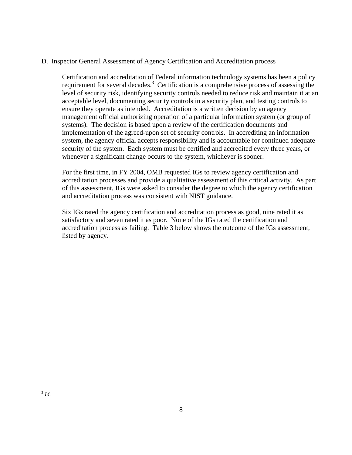# D. Inspector General Assessment of Agency Certification and Accreditation process

Certification and accreditation of Federal information technology systems has been a policy requirement for several decades.<sup>[3](#page-13-0)</sup> Certification is a comprehensive process of assessing the level of security risk, identifying security controls needed to reduce risk and maintain it at an acceptable level, documenting security controls in a security plan, and testing controls to ensure they operate as intended. Accreditation is a written decision by an agency management official authorizing operation of a particular information system (or group of systems). The decision is based upon a review of the certification documents and implementation of the agreed-upon set of security controls. In accrediting an information system, the agency official accepts responsibility and is accountable for continued adequate security of the system. Each system must be certified and accredited every three years, or whenever a significant change occurs to the system, whichever is sooner.

For the first time, in FY 2004, OMB requested IGs to review agency certification and accreditation processes and provide a qualitative assessment of this critical activity. As part of this assessment, IGs were asked to consider the degree to which the agency certification and accreditation process was consistent with NIST guidance.

<span id="page-13-0"></span>Six IGs rated the agency certification and accreditation process as good, nine rated it as satisfactory and seven rated it as poor. None of the IGs rated the certification and accreditation process as failing. Table 3 below shows the outcome of the IGs assessment, listed by agency.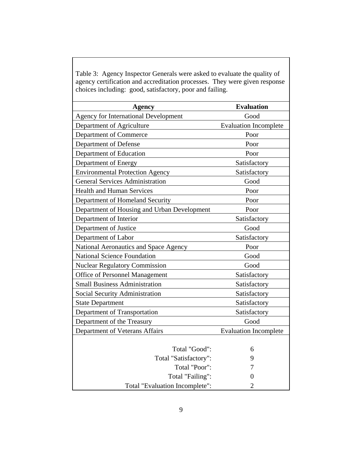| $\mu$ and the accreditation processes. They were given respect<br>choices including: good, satisfactory, poor and failing. |                              |  |
|----------------------------------------------------------------------------------------------------------------------------|------------------------------|--|
| <b>Evaluation</b><br>Agency                                                                                                |                              |  |
| <b>Agency for International Development</b>                                                                                | Good                         |  |
| Department of Agriculture                                                                                                  | <b>Evaluation Incomplete</b> |  |
| Department of Commerce                                                                                                     | Poor                         |  |
| Department of Defense                                                                                                      | Poor                         |  |
| Department of Education                                                                                                    | Poor                         |  |
| Department of Energy                                                                                                       | Satisfactory                 |  |
| <b>Environmental Protection Agency</b>                                                                                     | Satisfactory                 |  |
| <b>General Services Administration</b>                                                                                     | Good                         |  |
| <b>Health and Human Services</b>                                                                                           | Poor                         |  |
| Department of Homeland Security                                                                                            | Poor                         |  |
| Department of Housing and Urban Development                                                                                | Poor                         |  |
| Department of Interior                                                                                                     | Satisfactory                 |  |
| Department of Justice                                                                                                      | Good                         |  |
| Department of Labor                                                                                                        | Satisfactory                 |  |
| National Aeronautics and Space Agency                                                                                      | Poor                         |  |
| <b>National Science Foundation</b>                                                                                         | Good                         |  |
| <b>Nuclear Regulatory Commission</b>                                                                                       | Good                         |  |
| <b>Office of Personnel Management</b>                                                                                      | Satisfactory                 |  |
| <b>Small Business Administration</b>                                                                                       | Satisfactory                 |  |
| Social Security Administration                                                                                             | Satisfactory                 |  |
| <b>State Department</b>                                                                                                    | Satisfactory                 |  |
| Department of Transportation                                                                                               | Satisfactory                 |  |
| Department of the Treasury                                                                                                 | Good                         |  |
| Department of Veterans Affairs                                                                                             | <b>Evaluation Incomplete</b> |  |
|                                                                                                                            |                              |  |
| Total "Good":                                                                                                              | 6                            |  |
| Total "Satisfactory":                                                                                                      | 9                            |  |
| Total "Poor":                                                                                                              | 7                            |  |
| Total "Failing":                                                                                                           | 0                            |  |
| Total "Evaluation Incomplete":                                                                                             | $\overline{2}$               |  |

Table 3: Agency Inspector Generals were asked to evaluate the quality of agency certification and accreditation processes. They were given response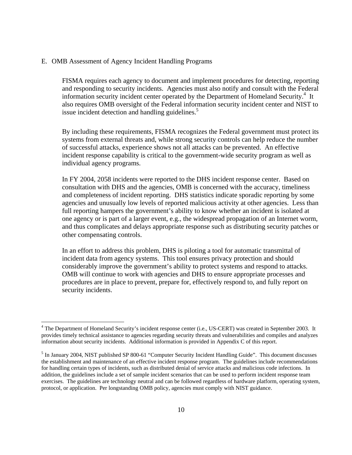## E. OMB Assessment of Agency Incident Handling Programs

-

FISMA requires each agency to document and implement procedures for detecting, reporting and responding to security incidents. Agencies must also notify and consult with the Federal information security incident center operated by the Department of Homeland Security.<sup>4</sup> It also requires OMB oversight of the Federal information security incident center and NIST to issue incident detection and handling guidelines.<sup>5</sup>

By including these requirements, FISMA recognizes the Federal government must protect its systems from external threats and, while strong security controls can help reduce the number of successful attacks, experience shows not all attacks can be prevented. An effective incident response capability is critical to the government-wide security program as well as individual agency programs.

In FY 2004, 2058 incidents were reported to the DHS incident response center. Based on consultation with DHS and the agencies, OMB is concerned with the accuracy, timeliness and completeness of incident reporting. DHS statistics indicate sporadic reporting by some agencies and unusually low levels of reported malicious activity at other agencies. Less than full reporting hampers the government's ability to know whether an incident is isolated at one agency or is part of a larger event, e.g., the widespread propagation of an Internet worm, and thus complicates and delays appropriate response such as distributing security patches or other compensating controls.

In an effort to address this problem, DHS is piloting a tool for automatic transmittal of incident data from agency systems. This tool ensures privacy protection and should considerably improve the government's ability to protect systems and respond to attacks. OMB will continue to work with agencies and DHS to ensure appropriate processes and procedures are in place to prevent, prepare for, effectively respond to, and fully report on security incidents.

<span id="page-15-0"></span><sup>&</sup>lt;sup>4</sup> The Department of Homeland Security's incident response center (i.e., US-CERT) was created in September 2003. It provides timely technical assistance to agencies regarding security threats and vulnerabilities and compiles and analyzes information about security incidents. Additional information is provided in Appendix C of this report.

<span id="page-15-1"></span><sup>&</sup>lt;sup>5</sup> In January 2004, NIST published SP 800-61 "Computer Security Incident Handling Guide". This document discusses the establishment and maintenance of an effective incident response program. The guidelines include recommendations for handling certain types of incidents, such as distributed denial of service attacks and malicious code infections. In addition, the guidelines include a set of sample incident scenarios that can be used to perform incident response team exercises. The guidelines are technology neutral and can be followed regardless of hardware platform, operating system, protocol, or application. Per longstanding OMB policy, agencies must comply with NIST guidance.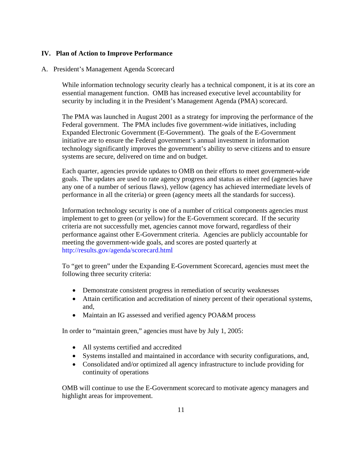## **IV. Plan of Action to Improve Performance**

## A. President's Management Agenda Scorecard

While information technology security clearly has a technical component, it is at its core an essential management function. OMB has increased executive level accountability for security by including it in the President's Management Agenda (PMA) scorecard.

The PMA was launched in August 2001 as a strategy for improving the performance of the Federal government. The PMA includes five government-wide initiatives, including Expanded Electronic Government (E-Government). The goals of the E-Government initiative are to ensure the Federal government's annual investment in information technology significantly improves the government's ability to serve citizens and to ensure systems are secure, delivered on time and on budget.

Each quarter, agencies provide updates to OMB on their efforts to meet government-wide goals. The updates are used to rate agency progress and status as either red (agencies have any one of a number of serious flaws), yellow (agency has achieved intermediate levels of performance in all the criteria) or green (agency meets all the standards for success).

Information technology security is one of a number of critical components agencies must implement to get to green (or yellow) for the E-Government scorecard. If the security criteria are not successfully met, agencies cannot move forward, regardless of their performance against other E-Government criteria. Agencies are publicly accountable for meeting the government-wide goals, and scores are posted quarterly at http://results.gov/agenda/scorecard.html

To "get to green" under the Expanding E-Government Scorecard, agencies must meet the following three security criteria:

- Demonstrate consistent progress in remediation of security weaknesses
- Attain certification and accreditation of ninety percent of their operational systems, and,
- Maintain an IG assessed and verified agency POA&M process

In order to "maintain green," agencies must have by July 1, 2005:

- All systems certified and accredited
- Systems installed and maintained in accordance with security configurations, and,
- Consolidated and/or optimized all agency infrastructure to include providing for continuity of operations

OMB will continue to use the E-Government scorecard to motivate agency managers and highlight areas for improvement.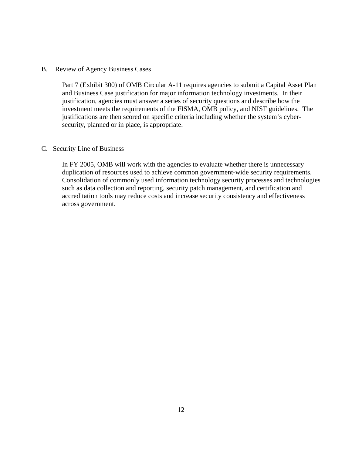## B. Review of Agency Business Cases

Part 7 (Exhibit 300) of OMB Circular A-11 requires agencies to submit a Capital Asset Plan and Business Case justification for major information technology investments. In their justification, agencies must answer a series of security questions and describe how the investment meets the requirements of the FISMA, OMB policy, and NIST guidelines. The justifications are then scored on specific criteria including whether the system's cybersecurity, planned or in place, is appropriate.

### C. Security Line of Business

In FY 2005, OMB will work with the agencies to evaluate whether there is unnecessary duplication of resources used to achieve common government-wide security requirements. Consolidation of commonly used information technology security processes and technologies such as data collection and reporting, security patch management, and certification and accreditation tools may reduce costs and increase security consistency and effectiveness across government.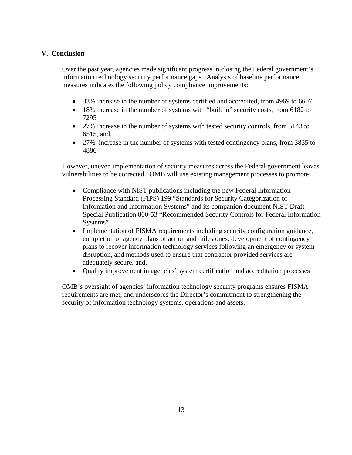# **V.****Conclusion**

Over the past year, agencies made significant progress in closing the Federal government's information technology security performance gaps. Analysis of baseline performance measures indicates the following policy compliance improvements:

- 33% increase in the number of systems certified and accredited, from 4969 to 6607
- 18% increase in the number of systems with "built in" security costs, from 6182 to 7295
- 27% increase in the number of systems with tested security controls, from 5143 to 6515, and,
- 27% increase in the number of systems with tested contingency plans, from 3835 to 4886

However, uneven implementation of security measures across the Federal government leaves vulnerabilities to be corrected. OMB will use existing management processes to promote:

- Compliance with NIST publications including the new Federal Information Processing Standard (FIPS) 199 "Standards for Security Categorization of Information and Information Systems" and its companion document NIST Draft Special Publication 800-53 "Recommended Security Controls for Federal Information Systems"
- Implementation of FISMA requirements including security configuration guidance, completion of agency plans of action and milestones, development of contingency plans to recover information technology services following an emergency or system disruption, and methods used to ensure that contractor provided services are adequately secure, and,
- Quality improvement in agencies' system certification and accreditation processes

OMB's oversight of agencies' information technology security programs ensures FISMA requirements are met, and underscores the Director's commitment to strengthening the security of information technology systems, operations and assets.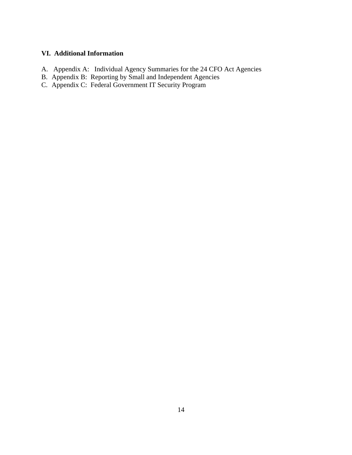# **VI. Additional Information**

- A. Appendix A: Individual Agency Summaries for the 24 CFO Act Agencies
- B. Appendix B: Reporting by Small and Independent Agencies
- C. Appendix C: Federal Government IT Security Program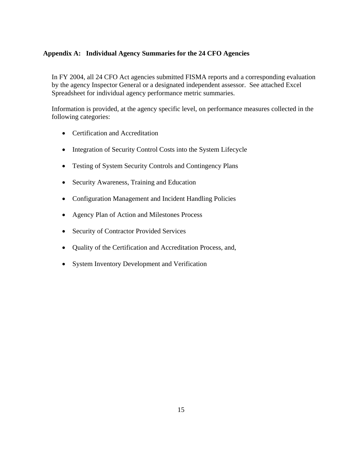# **Appendix A: Individual Agency Summaries for the 24 CFO Agencies**

In FY 2004, all 24 CFO Act agencies submitted FISMA reports and a corresponding evaluation by the agency Inspector General or a designated independent assessor. See attached Excel Spreadsheet for individual agency performance metric summaries.

Information is provided, at the agency specific level, on performance measures collected in the following categories:

- Certification and Accreditation
- Integration of Security Control Costs into the System Lifecycle
- Testing of System Security Controls and Contingency Plans
- Security Awareness, Training and Education
- Configuration Management and Incident Handling Policies
- Agency Plan of Action and Milestones Process
- Security of Contractor Provided Services
- Quality of the Certification and Accreditation Process, and,
- System Inventory Development and Verification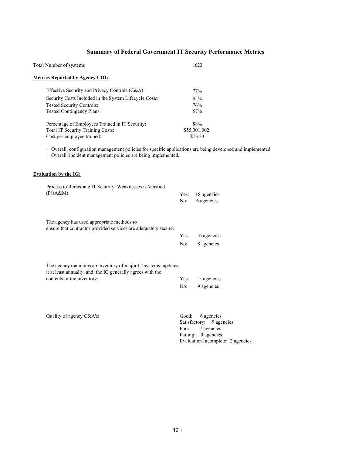# **Summary of Federal Government IT Security Performance Metrics**

| Total Number of systems                                         | 8623                |
|-----------------------------------------------------------------|---------------------|
| <b>Metrics Reported by Agency CIO:</b>                          |                     |
| Effective Security and Privacy Controls (C&A):                  | 77%                 |
| Security Costs Included in the System Lifecycle Costs:          | 85%                 |
| Tested Security Controls:                                       | 76%                 |
| <b>Tested Contingency Plans:</b>                                | 57%                 |
| Percentage of Employees Trained in IT Security:                 | 88%                 |
| Total IT Security Training Costs:                               | \$55,001,002        |
| Cost per employee trained:                                      | \$13.33             |
| <b>Evaluation by the IG:</b>                                    |                     |
| Process to Remediate IT Security Weaknesses is Verified         |                     |
| (POA&M):                                                        | 18 agencies<br>Yes: |
|                                                                 | 6 agencies<br>No:   |
|                                                                 |                     |
|                                                                 |                     |
| The agency has used appropriate methods to                      |                     |
| ensure that contractor provided services are adequately secure: | 16 agencies<br>Yes: |

| The agency maintains an inventory of major IT systems, updates |                  |  |
|----------------------------------------------------------------|------------------|--|
| it at least annually, and, the IG generally agrees with the    |                  |  |
| contents of the inventory:                                     | Yes: 15 agencies |  |
|                                                                | No: 9 agencies   |  |

Quality of agency C&A's: Good: 6 agencies

Satisfactory: 9 agencies Poor: 7 agencies Failing: 0 agencies Evaluation Incomplete: 2 agencies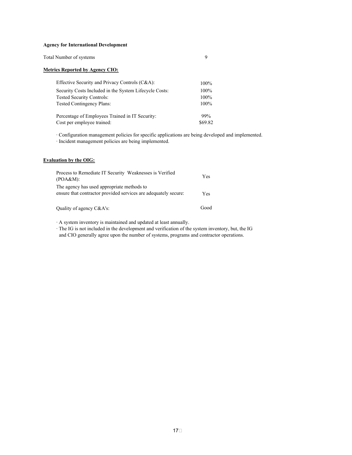#### **Agency for International Development**

Total Number of systems 9

#### **Metrics Reported by Agency CIO:**

| Effective Security and Privacy Controls (C&A):         | $100\%$ |
|--------------------------------------------------------|---------|
| Security Costs Included in the System Lifecycle Costs: | 100%    |
| <b>Tested Security Controls:</b>                       | $100\%$ |
| <b>Tested Contingency Plans:</b>                       | $100\%$ |
| Percentage of Employees Trained in IT Security:        | 99%     |
| Cost per employee trained:                             | \$69.82 |

· Configuration management policies for specific applications are being developed and implemented.

· Incident management policies are being implemented.

#### **Evaluation by the OIG:**

| Process to Remediate IT Security Weaknesses is Verified<br>(POA&M):                                           | Yes  |
|---------------------------------------------------------------------------------------------------------------|------|
| The agency has used appropriate methods to<br>ensure that contractor provided services are adequately secure. | Yes  |
| Quality of agency C&A's:                                                                                      | Good |

· A system inventory is maintained and updated at least annually.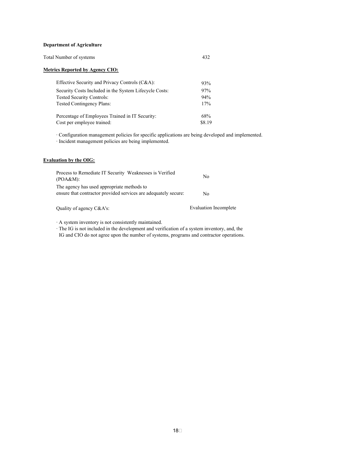#### **Department of Agriculture**

| Total Number of systems |  |
|-------------------------|--|
|-------------------------|--|

#### **Metrics Reported by Agency CIO:**

| Effective Security and Privacy Controls (C&A):         | 93%    |
|--------------------------------------------------------|--------|
| Security Costs Included in the System Lifecycle Costs: | 97%    |
| <b>Tested Security Controls:</b>                       | 94%    |
| <b>Tested Contingency Plans:</b>                       | 17%    |
| Percentage of Employees Trained in IT Security:        | 68%    |
| Cost per employee trained:                             | \$8.19 |

· Configuration management policies for specific applications are being developed and implemented.

· Incident management policies are being implemented.

#### **Evaluation by the OIG:**

| Process to Remediate IT Security Weaknesses is Verified<br>(POA&M):                                           | N <sub>0</sub> |
|---------------------------------------------------------------------------------------------------------------|----------------|
| The agency has used appropriate methods to<br>ensure that contractor provided services are adequately secure. | No.            |

Quality of agency C&A's: Evaluation Incomplete

· A system inventory is not consistently maintained.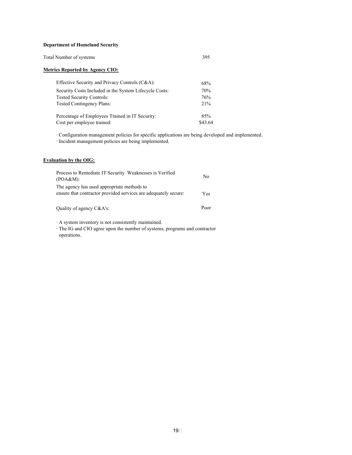#### **Department of Homeland Security**

#### **Metrics Reported by Agency CIO:**

| Effective Security and Privacy Controls (C&A):         | 68%     |
|--------------------------------------------------------|---------|
| Security Costs Included in the System Lifecycle Costs: | 70%     |
| <b>Tested Security Controls:</b>                       | 76%     |
| <b>Tested Contingency Plans:</b>                       | 21%     |
| Percentage of Employees Trained in IT Security:        | 85%     |
| Cost per employee trained:                             | \$43.64 |

· Configuration management policies for specific applications are being developed and implemented.

· Incident management policies are being implemented.

#### **Evaluation by the OIG:**

| Process to Remediate IT Security Weaknesses is Verified<br>(POA&M):                                           | N <sub>0</sub> |
|---------------------------------------------------------------------------------------------------------------|----------------|
| The agency has used appropriate methods to<br>ensure that contractor provided services are adequately secure. | <b>Yes</b>     |
| Quality of agency C&A's:                                                                                      | Poor           |

· A system inventory is not consistently maintained.

· The IG and CIO agree upon the number of systems, programs and contractor operations.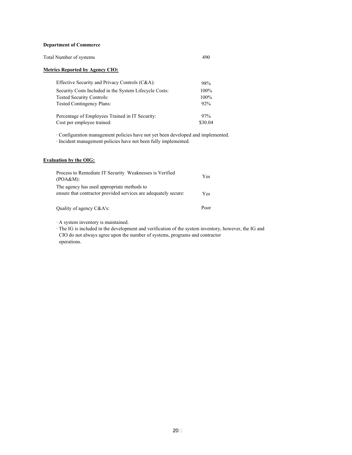#### **Department of Commerce**

| Total Number of systems | 490 |
|-------------------------|-----|
|-------------------------|-----|

#### **Metrics Reported by Agency CIO:**

| Effective Security and Privacy Controls (C&A):         | 98%     |
|--------------------------------------------------------|---------|
| Security Costs Included in the System Lifecycle Costs: | 100%    |
| <b>Tested Security Controls:</b>                       | $100\%$ |
| <b>Tested Contingency Plans:</b>                       | 92%     |
| Percentage of Employees Trained in IT Security:        | 97%     |
| Cost per employee trained:                             | \$30.04 |

· Configuration management policies have not yet been developed and implemented.

· Incident management policies have not been fully implemented.

#### **Evaluation by the OIG:**

| Process to Remediate IT Security Weaknesses is Verified<br>(POA&M):                                           | Yes  |
|---------------------------------------------------------------------------------------------------------------|------|
| The agency has used appropriate methods to<br>ensure that contractor provided services are adequately secure: | Yes  |
| Quality of agency C&A's:                                                                                      | Poor |

· A system inventory is maintained.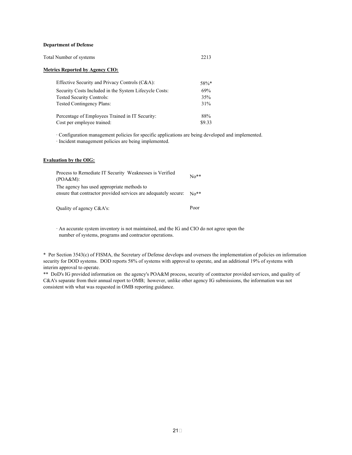#### **Department of Defense**

| Total Number of systems | 2213 |
|-------------------------|------|
|-------------------------|------|

#### **Metrics Reported by Agency CIO:**

| Effective Security and Privacy Controls (C&A):         | $58\%*$ |
|--------------------------------------------------------|---------|
| Security Costs Included in the System Lifecycle Costs: | 69%     |
| <b>Tested Security Controls:</b>                       | 35%     |
| <b>Tested Contingency Plans:</b>                       | 31%     |
| Percentage of Employees Trained in IT Security:        | 88%     |
| Cost per employee trained:                             | \$9.33  |

· Configuration management policies for specific applications are being developed and implemented.

· Incident management policies are being implemented.

#### **Evaluation by the OIG:**

| Process to Remediate IT Security Weaknesses is Verified<br>(POA&M):                                           | $\mathrm{No}^{**}$ |
|---------------------------------------------------------------------------------------------------------------|--------------------|
| The agency has used appropriate methods to<br>ensure that contractor provided services are adequately secure. | $\mathrm{No}^{**}$ |

Quality of agency C&A's: Poor

 · An accurate system inventory is not maintained, and the IG and CIO do not agree upon the number of systems, programs and contractor operations.

\* Per Section 3543(c) of FISMA, the Secretary of Defense develops and oversees the implementation of policies on information security for DOD systems. DOD reports 58% of systems with approval to operate, and an additional 19% of systems with interim approval to operate.

\*\* DoD's IG provided information on the agency's POA&M process, security of contractor provided services, and quality of C&A's separate from their annual report to OMB; however, unlike other agency IG submissions, the information was not consistent with what was requested in OMB reporting guidance.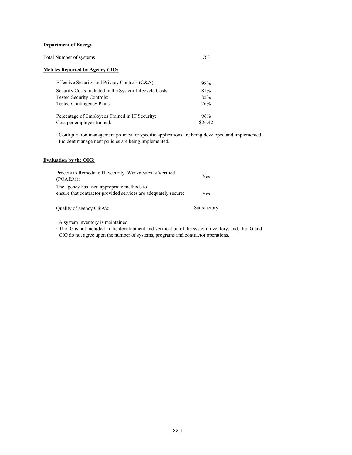#### **Department of Energy**

| Total Number of systems |  |
|-------------------------|--|
|                         |  |

#### **Metrics Reported by Agency CIO:**

| Effective Security and Privacy Controls (C&A):         | 98%     |
|--------------------------------------------------------|---------|
| Security Costs Included in the System Lifecycle Costs: | 81%     |
| <b>Tested Security Controls:</b>                       | 85%     |
| <b>Tested Contingency Plans:</b>                       | 26%     |
| Percentage of Employees Trained in IT Security:        | 96%     |
| Cost per employee trained:                             | \$26.42 |

· Configuration management policies for specific applications are being developed and implemented.

· Incident management policies are being implemented.

### **Evaluation by the OIG:**

| Process to Remediate IT Security Weaknesses is Verified<br>(POA&M):                                           | Yes                  |
|---------------------------------------------------------------------------------------------------------------|----------------------|
| The agency has used appropriate methods to<br>ensure that contractor provided services are adequately secure. | <b>Yes</b>           |
|                                                                                                               | $\sim$ $\sim$ $\sim$ |

Quality of agency C&A's: Satisfactory

· A system inventory is maintained.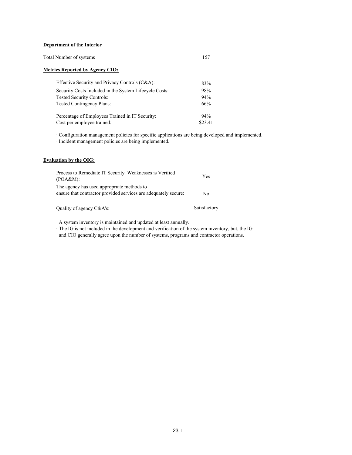#### **Department of the Interior**

| Total Number of systems |  |
|-------------------------|--|
|                         |  |

#### **Metrics Reported by Agency CIO:**

| Effective Security and Privacy Controls (C&A):         | 83%     |
|--------------------------------------------------------|---------|
| Security Costs Included in the System Lifecycle Costs: | 98%     |
| <b>Tested Security Controls:</b>                       | 94%     |
| <b>Tested Contingency Plans:</b>                       | 66%     |
| Percentage of Employees Trained in IT Security:        | 94%     |
| Cost per employee trained:                             | \$23.41 |

· Configuration management policies for specific applications are being developed and implemented.

· Incident management policies are being implemented.

#### **Evaluation by the OIG:**

| Process to Remediate IT Security Weaknesses is Verified<br>(POA&M):                                           | Yes          |
|---------------------------------------------------------------------------------------------------------------|--------------|
| The agency has used appropriate methods to<br>ensure that contractor provided services are adequately secure. | Nο           |
| Quality of agency C&A's:                                                                                      | Satisfactory |

· A system inventory is maintained and updated at least annually.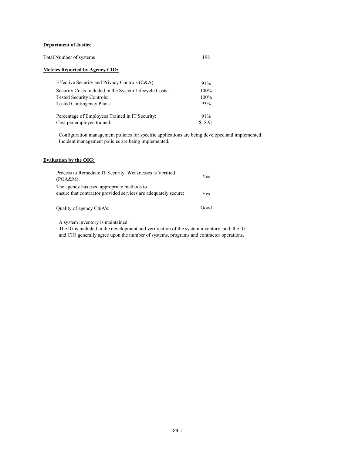#### **Department of Justice**

| Total Number of systems |  |
|-------------------------|--|
|-------------------------|--|

#### **Metrics Reported by Agency CIO:**

| Effective Security and Privacy Controls (C&A):         | 91%     |
|--------------------------------------------------------|---------|
| Security Costs Included in the System Lifecycle Costs: | 100%    |
| <b>Tested Security Controls:</b>                       | 100%    |
| <b>Tested Contingency Plans:</b>                       | 93%     |
| Percentage of Employees Trained in IT Security:        | $91\%$  |
| Cost per employee trained:                             | \$18.91 |

· Configuration management policies for specific applications are being developed and implemented.

· Incident management policies are being implemented.

#### **Evaluation by the OIG:**

| Process to Remediate IT Security Weaknesses is Verified<br>(POA&M):                                           | Yes  |
|---------------------------------------------------------------------------------------------------------------|------|
| The agency has used appropriate methods to<br>ensure that contractor provided services are adequately secure. | Yes. |
| Quality of agency C&A's:                                                                                      | Good |

· A system inventory is maintained.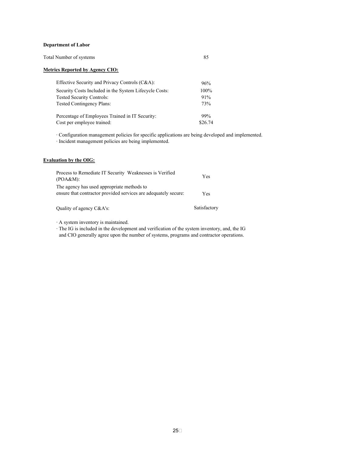#### **Department of Labor**

| Total Number of systems |  |
|-------------------------|--|
|-------------------------|--|

#### **Metrics Reported by Agency CIO:**

| Effective Security and Privacy Controls (C&A):         | 96%     |
|--------------------------------------------------------|---------|
| Security Costs Included in the System Lifecycle Costs: | 100%    |
| <b>Tested Security Controls:</b>                       | 91%     |
| <b>Tested Contingency Plans:</b>                       | 73%     |
| Percentage of Employees Trained in IT Security:        | 99%     |
| Cost per employee trained:                             | \$26.74 |

· Configuration management policies for specific applications are being developed and implemented.

· Incident management policies are being implemented.

#### **Evaluation by the OIG:**

| Process to Remediate IT Security Weaknesses is Verified<br>(POA&M):                                           | <b>Yes</b>   |
|---------------------------------------------------------------------------------------------------------------|--------------|
| The agency has used appropriate methods to<br>ensure that contractor provided services are adequately secure. | Yes          |
| Quality of agency C&A's:                                                                                      | Satisfactory |

· A system inventory is maintained.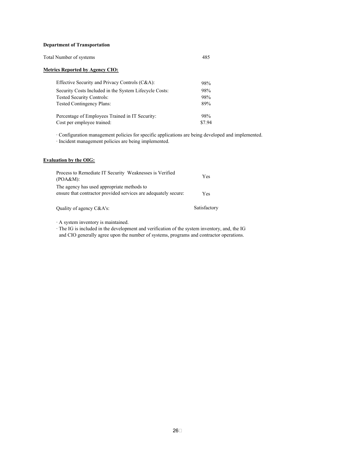#### **Department of Transportation**

| Total Number of systems |  |
|-------------------------|--|
|-------------------------|--|

#### **Metrics Reported by Agency CIO:**

| Effective Security and Privacy Controls (C&A):         | 98%   |
|--------------------------------------------------------|-------|
| Security Costs Included in the System Lifecycle Costs: | 98%   |
| <b>Tested Security Controls:</b>                       | 98%   |
| <b>Tested Contingency Plans:</b>                       | 89%   |
| Percentage of Employees Trained in IT Security:        | 98%   |
| Cost per employee trained:                             | \$794 |

· Configuration management policies for specific applications are being developed and implemented.

· Incident management policies are being implemented.

#### **Evaluation by the OIG:**

| Process to Remediate IT Security Weaknesses is Verified<br>(POA&M):                                           | <b>Yes</b>   |
|---------------------------------------------------------------------------------------------------------------|--------------|
| The agency has used appropriate methods to<br>ensure that contractor provided services are adequately secure. | Yes          |
| Quality of agency C&A's:                                                                                      | Satisfactory |

· A system inventory is maintained.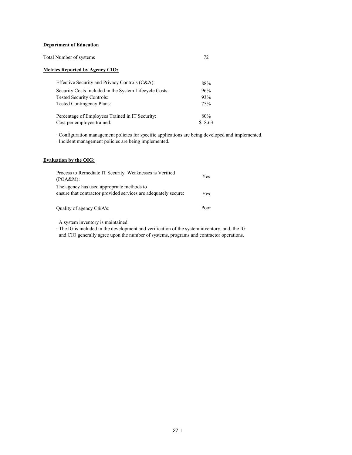#### **Department of Education**

| Total Number of systems |  |
|-------------------------|--|
|-------------------------|--|

#### **Metrics Reported by Agency CIO:**

| Effective Security and Privacy Controls (C&A):         | 88%     |
|--------------------------------------------------------|---------|
| Security Costs Included in the System Lifecycle Costs: | 96%     |
| <b>Tested Security Controls:</b>                       | 93%     |
| <b>Tested Contingency Plans:</b>                       | 75%     |
| Percentage of Employees Trained in IT Security:        | 80%     |
| Cost per employee trained:                             | \$18.63 |

· Configuration management policies for specific applications are being developed and implemented.

· Incident management policies are being implemented.

## **Evaluation by the OIG:**

| Process to Remediate IT Security Weaknesses is Verified<br>(POA&M):                                           | Yes  |
|---------------------------------------------------------------------------------------------------------------|------|
| The agency has used appropriate methods to<br>ensure that contractor provided services are adequately secure: | Yes  |
| Quality of agency C&A's:                                                                                      | Poor |

· A system inventory is maintained.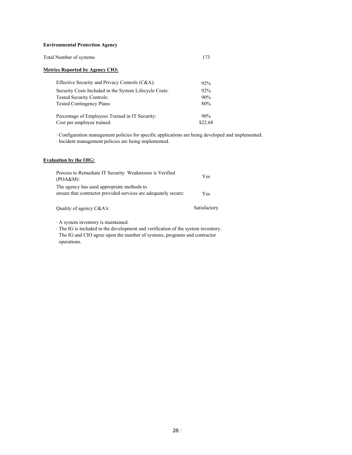#### **Environmental Protection Agency**

| Total Number of systems |  |
|-------------------------|--|
|                         |  |

#### **Metrics Reported by Agency CIO:**

| Effective Security and Privacy Controls (C&A):         | 92%     |
|--------------------------------------------------------|---------|
| Security Costs Included in the System Lifecycle Costs: | 92%     |
| <b>Tested Security Controls:</b>                       | 90%     |
| <b>Tested Contingency Plans:</b>                       | 80%     |
| Percentage of Employees Trained in IT Security:        | 90%     |
| Cost per employee trained:                             | \$22.68 |

· Configuration management policies for specific applications are being developed and implemented.

· Incident management policies are being implemented.

#### **Evaluation by the OIG:**

| Process to Remediate IT Security Weaknesses is Verified<br>(POA&M):                                           | Yes          |
|---------------------------------------------------------------------------------------------------------------|--------------|
| The agency has used appropriate methods to<br>ensure that contractor provided services are adequately secure. | Yes          |
| Quality of agency C&A's:                                                                                      | Satisfactory |

· A system inventory is maintained.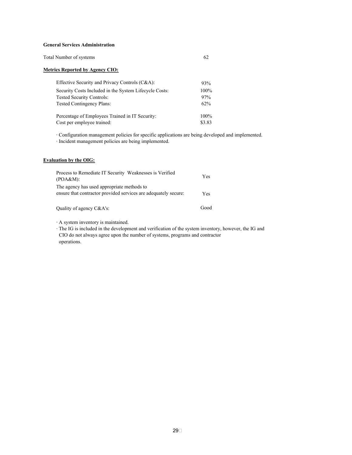#### **General Services Administration**

| Total Number of systems |  |
|-------------------------|--|
|-------------------------|--|

#### **Metrics Reported by Agency CIO:**

| Effective Security and Privacy Controls (C&A):         | 93%     |
|--------------------------------------------------------|---------|
| Security Costs Included in the System Lifecycle Costs: | 100%    |
| <b>Tested Security Controls:</b>                       | 97%     |
| <b>Tested Contingency Plans:</b>                       | 62%     |
| Percentage of Employees Trained in IT Security:        | $100\%$ |
| Cost per employee trained:                             | \$3.83  |

· Configuration management policies for specific applications are being developed and implemented.

· Incident management policies are being implemented.

#### **Evaluation by the OIG:**

| Process to Remediate IT Security Weaknesses is Verified<br>(POA&M):                                           | Yes  |
|---------------------------------------------------------------------------------------------------------------|------|
| The agency has used appropriate methods to<br>ensure that contractor provided services are adequately secure: | Yes. |
| Quality of agency C&A's:                                                                                      | Good |

· A system inventory is maintained.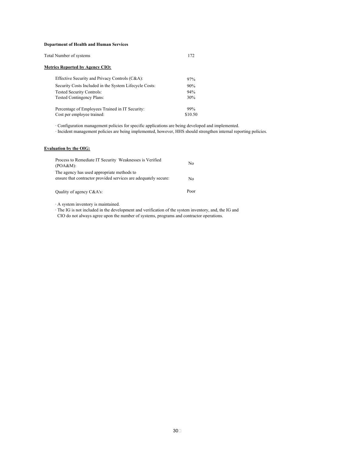#### **Department of Health and Human Services**

| Total Number of systems                                | 172     |
|--------------------------------------------------------|---------|
| Metrics Reported by Agency CIO:                        |         |
| Effective Security and Privacy Controls (C&A):         | 97%     |
| Security Costs Included in the System Lifecycle Costs: | 90%     |
| <b>Tested Security Controls:</b>                       | 94%     |
| Tested Contingency Plans:                              | 30%     |
| Percentage of Employees Trained in IT Security:        | 99%     |
| Cost per employee trained:                             | \$10.50 |

· Configuration management policies for specific applications are being developed and implemented.

· Incident management policies are being implemented, however, HHS should strengthen internal reporting policies.

#### **Evaluation by the OIG:**

| Process to Remediate IT Security Weaknesses is Verified<br>(POA&M):                                           | No   |
|---------------------------------------------------------------------------------------------------------------|------|
| The agency has used appropriate methods to<br>ensure that contractor provided services are adequately secure: | No   |
| Quality of agency C&A's:                                                                                      | Poor |

· A system inventory is maintained.

· The IG is not included in the development and verification of the system inventory, and, the IG and

CIO do not always agree upon the number of systems, programs and contractor operations.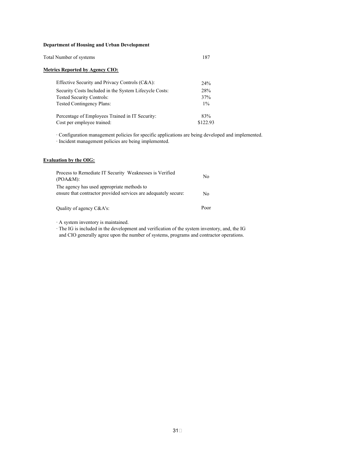#### **Department of Housing and Urban Development**

| Total Number of systems |  |
|-------------------------|--|
|                         |  |

#### **Metrics Reported by Agency CIO:**

| Effective Security and Privacy Controls (C&A):         | 24%      |
|--------------------------------------------------------|----------|
| Security Costs Included in the System Lifecycle Costs: | 28%      |
| <b>Tested Security Controls:</b>                       | 37%      |
| <b>Tested Contingency Plans:</b>                       | $1\%$    |
| Percentage of Employees Trained in IT Security:        | 83%      |
| Cost per employee trained:                             | \$122.93 |

· Configuration management policies for specific applications are being developed and implemented.

· Incident management policies are being implemented.

#### **Evaluation by the OIG:**

| Process to Remediate IT Security Weaknesses is Verified<br>(POA&M):                                           | No   |
|---------------------------------------------------------------------------------------------------------------|------|
| The agency has used appropriate methods to<br>ensure that contractor provided services are adequately secure. | No.  |
| Quality of agency C&A's:                                                                                      | Poor |

· A system inventory is maintained.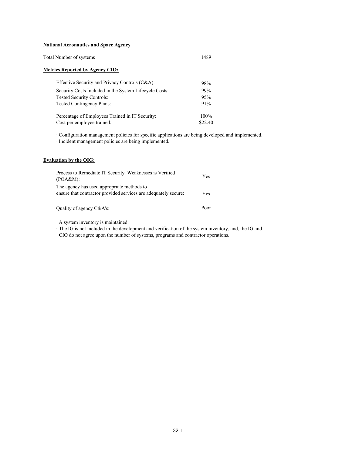#### **National Aeronautics and Space Agency**

| Total Number of systems | 1489 |
|-------------------------|------|
|                         |      |

#### **Metrics Reported by Agency CIO:**

| Effective Security and Privacy Controls (C&A):         | 98%     |
|--------------------------------------------------------|---------|
| Security Costs Included in the System Lifecycle Costs: | 99%     |
| <b>Tested Security Controls:</b>                       | 95%     |
| <b>Tested Contingency Plans:</b>                       | 91%     |
| Percentage of Employees Trained in IT Security:        | 100%    |
| Cost per employee trained:                             | \$22.40 |

· Configuration management policies for specific applications are being developed and implemented.

· Incident management policies are being implemented.

#### **Evaluation by the OIG:**

| Process to Remediate IT Security Weaknesses is Verified<br>(POA&M):                                           | Yes  |
|---------------------------------------------------------------------------------------------------------------|------|
| The agency has used appropriate methods to<br>ensure that contractor provided services are adequately secure. | Yes  |
| Quality of agency C&A's:                                                                                      | Poor |

· A system inventory is maintained.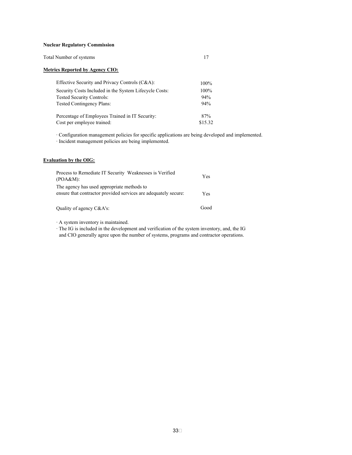#### **Nuclear Regulatory Commission**

| Total Number of systems |  |
|-------------------------|--|
|                         |  |

#### **Metrics Reported by Agency CIO:**

| Effective Security and Privacy Controls (C&A):         | $100\%$ |
|--------------------------------------------------------|---------|
| Security Costs Included in the System Lifecycle Costs: | 100%    |
| <b>Tested Security Controls:</b>                       | 94%     |
| <b>Tested Contingency Plans:</b>                       | 94%     |
| Percentage of Employees Trained in IT Security:        | 87%     |
| Cost per employee trained:                             | \$15.32 |

· Configuration management policies for specific applications are being developed and implemented.

· Incident management policies are being implemented.

#### **Evaluation by the OIG:**

| Process to Remediate IT Security Weaknesses is Verified<br>(POA&M):                                           | Yes  |
|---------------------------------------------------------------------------------------------------------------|------|
| The agency has used appropriate methods to<br>ensure that contractor provided services are adequately secure. | Yes. |
| Quality of agency C&A's:                                                                                      | Good |

· A system inventory is maintained.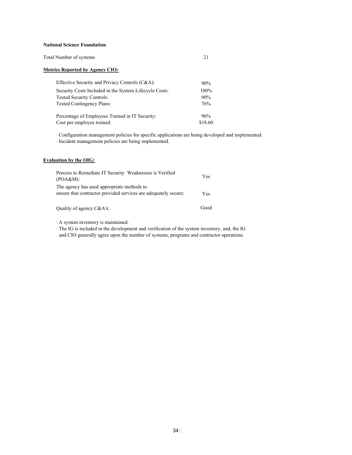#### **National Science Foundation**

| Total Number of systems |  |
|-------------------------|--|
|-------------------------|--|

#### **Metrics Reported by Agency CIO:**

| Effective Security and Privacy Controls (C&A):         | 90%     |
|--------------------------------------------------------|---------|
| Security Costs Included in the System Lifecycle Costs: | 100%    |
| <b>Tested Security Controls:</b>                       | 90%     |
| <b>Tested Contingency Plans:</b>                       | 76%     |
| Percentage of Employees Trained in IT Security:        | 96%     |
| Cost per employee trained:                             | \$18.60 |

· Configuration management policies for specific applications are being developed and implemented.

· Incident management policies are being implemented.

#### **Evaluation by the OIG:**

| Process to Remediate IT Security Weaknesses is Verified<br>(POA&M):                                           | Yes  |
|---------------------------------------------------------------------------------------------------------------|------|
| The agency has used appropriate methods to<br>ensure that contractor provided services are adequately secure: | Yes  |
| Quality of agency C&A's:                                                                                      | Good |

· A system inventory is maintained.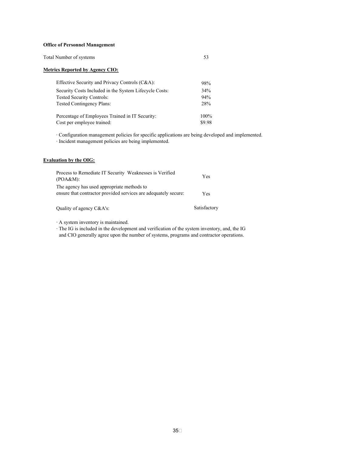#### **Office of Personnel Management**

| Total Number of systems |  |
|-------------------------|--|
|-------------------------|--|

#### **Metrics Reported by Agency CIO:**

| Effective Security and Privacy Controls (C&A):         | 98%     |
|--------------------------------------------------------|---------|
| Security Costs Included in the System Lifecycle Costs: | 34%     |
| <b>Tested Security Controls:</b>                       | 94%     |
| <b>Tested Contingency Plans:</b>                       | 28%     |
| Percentage of Employees Trained in IT Security:        | $100\%$ |
| Cost per employee trained:                             | \$9.98  |

· Configuration management policies for specific applications are being developed and implemented.

· Incident management policies are being implemented.

#### **Evaluation by the OIG:**

| Process to Remediate IT Security Weaknesses is Verified<br>(POA&M):                                           | <b>Yes</b>   |
|---------------------------------------------------------------------------------------------------------------|--------------|
| The agency has used appropriate methods to<br>ensure that contractor provided services are adequately secure. | Yes          |
| Quality of agency C&A's:                                                                                      | Satisfactory |

· A system inventory is maintained.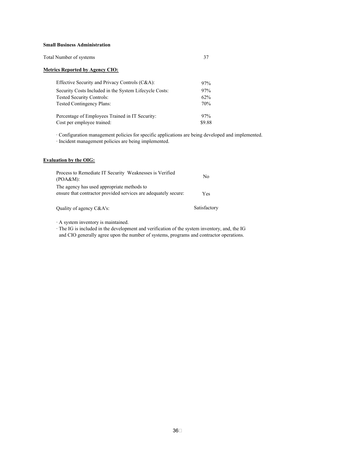#### **Small Business Administration**

| Total Number of systems |  |
|-------------------------|--|
|-------------------------|--|

#### **Metrics Reported by Agency CIO:**

| Effective Security and Privacy Controls (C&A):         | 97%    |
|--------------------------------------------------------|--------|
| Security Costs Included in the System Lifecycle Costs: | 97%    |
| <b>Tested Security Controls:</b>                       | 62%    |
| <b>Tested Contingency Plans:</b>                       | 70%    |
| Percentage of Employees Trained in IT Security:        | 97%    |
| Cost per employee trained:                             | \$9.88 |

· Configuration management policies for specific applications are being developed and implemented.

· Incident management policies are being implemented.

#### **Evaluation by the OIG:**

| Process to Remediate IT Security Weaknesses is Verified<br>(POA&M):                                           | N <sub>0</sub> |
|---------------------------------------------------------------------------------------------------------------|----------------|
| The agency has used appropriate methods to<br>ensure that contractor provided services are adequately secure. | Yes            |
| Quality of agency C&A's:                                                                                      | Satisfactory   |

· A system inventory is maintained.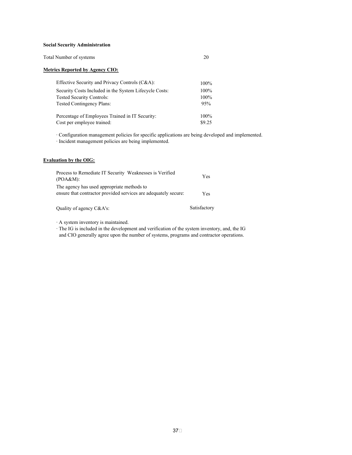#### **Social Security Administration**

| Total Number of systems |  |
|-------------------------|--|
|-------------------------|--|

#### **Metrics Reported by Agency CIO:**

| Effective Security and Privacy Controls (C&A):         | $100\%$ |
|--------------------------------------------------------|---------|
| Security Costs Included in the System Lifecycle Costs: | 100%    |
| <b>Tested Security Controls:</b>                       | $100\%$ |
| <b>Tested Contingency Plans:</b>                       | 95%     |
| Percentage of Employees Trained in IT Security:        | $100\%$ |
| Cost per employee trained:                             | \$9.25  |

· Configuration management policies for specific applications are being developed and implemented.

· Incident management policies are being implemented.

#### **Evaluation by the OIG:**

| Process to Remediate IT Security Weaknesses is Verified<br>(POA&M):                                           | Yes  |
|---------------------------------------------------------------------------------------------------------------|------|
| The agency has used appropriate methods to<br>ensure that contractor provided services are adequately secure. | Yes. |

Quality of agency C&A's: Satisfactory

· A system inventory is maintained.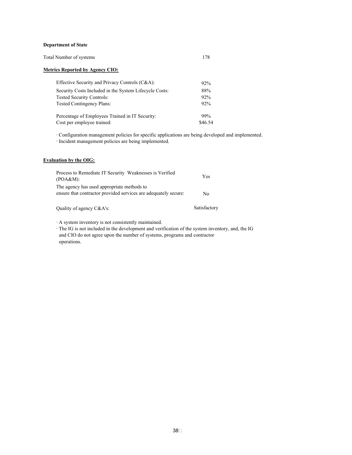#### **Department of State**

| Total Number of systems |  |
|-------------------------|--|
|                         |  |

#### **Metrics Reported by Agency CIO:**

| Effective Security and Privacy Controls (C&A):         | 92%     |
|--------------------------------------------------------|---------|
| Security Costs Included in the System Lifecycle Costs: | 88%     |
| <b>Tested Security Controls:</b>                       | 92%     |
| <b>Tested Contingency Plans:</b>                       | 92%     |
| Percentage of Employees Trained in IT Security:        | 99%     |
| Cost per employee trained:                             | \$46.54 |

· Configuration management policies for specific applications are being developed and implemented.

· Incident management policies are being implemented.

#### **Evaluation by the OIG:**

| Process to Remediate IT Security Weaknesses is Verified<br>(POA&M):                                           | <b>Yes</b>     |
|---------------------------------------------------------------------------------------------------------------|----------------|
| The agency has used appropriate methods to<br>ensure that contractor provided services are adequately secure: | N <sub>0</sub> |
| Quality of agency C&A's:                                                                                      | Satisfactory   |

· A system inventory is not consistently maintained.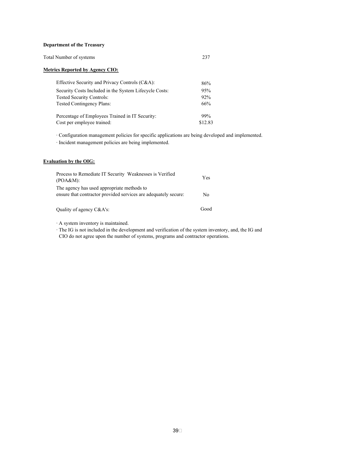#### **Department of the Treasury**

| Total Number of systems |  |
|-------------------------|--|
|-------------------------|--|

#### **Metrics Reported by Agency CIO:**

| Effective Security and Privacy Controls (C&A):         | 86%     |
|--------------------------------------------------------|---------|
| Security Costs Included in the System Lifecycle Costs: | 95%     |
| <b>Tested Security Controls:</b>                       | 92%     |
| <b>Tested Contingency Plans:</b>                       | 66%     |
| Percentage of Employees Trained in IT Security:        | 99%     |
| Cost per employee trained:                             | \$12.83 |

· Configuration management policies for specific applications are being developed and implemented.

· Incident management policies are being implemented.

#### **Evaluation by the OIG:**

| Process to Remediate IT Security Weaknesses is Verified<br>(POA&M):                                           | Yes |
|---------------------------------------------------------------------------------------------------------------|-----|
| The agency has used appropriate methods to<br>ensure that contractor provided services are adequately secure. | N٥  |
|                                                                                                               |     |

Quality of agency C&A's: Good

· A system inventory is maintained.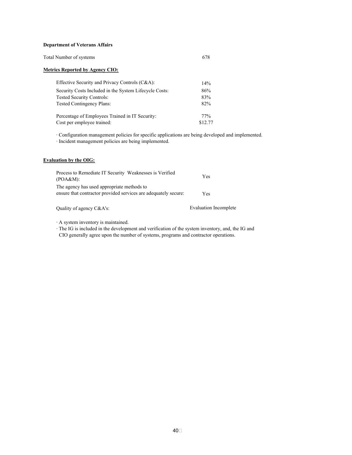#### **Department of Veterans Affairs**

| Total Number of systems |  |
|-------------------------|--|
|-------------------------|--|

#### **Metrics Reported by Agency CIO:**

| Effective Security and Privacy Controls (C&A):         | 14%     |
|--------------------------------------------------------|---------|
| Security Costs Included in the System Lifecycle Costs: | 86%     |
| <b>Tested Security Controls:</b>                       | 83%     |
| <b>Tested Contingency Plans:</b>                       | 82%     |
| Percentage of Employees Trained in IT Security:        | 77%     |
| Cost per employee trained:                             | \$12.77 |

· Configuration management policies for specific applications are being developed and implemented.

· Incident management policies are being implemented.

#### **Evaluation by the OIG:**

| Process to Remediate IT Security Weaknesses is Verified<br>(POA&M):                                           | Yes |
|---------------------------------------------------------------------------------------------------------------|-----|
| The agency has used appropriate methods to<br>ensure that contractor provided services are adequately secure. | Yes |

Quality of agency C&A's: Evaluation Incomplete

· A system inventory is maintained.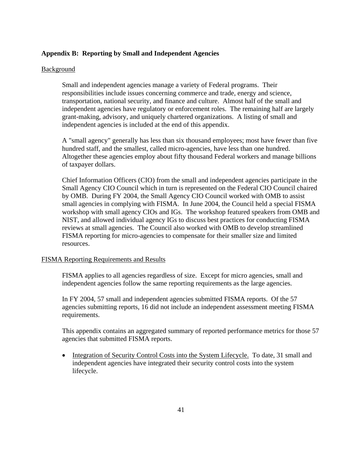## **Appendix B: Reporting by Small and Independent Agencies**

## Background

Small and independent agencies manage a variety of Federal programs. Their responsibilities include issues concerning commerce and trade, energy and science, transportation, national security, and finance and culture. Almost half of the small and independent agencies have regulatory or enforcement roles. The remaining half are largely grant-making, advisory, and uniquely chartered organizations. A listing of small and independent agencies is included at the end of this appendix.

A "small agency" generally has less than six thousand employees; most have fewer than five hundred staff, and the smallest, called micro-agencies, have less than one hundred. Altogether these agencies employ about fifty thousand Federal workers and manage billions of taxpayer dollars.

Chief Information Officers (CIO) from the small and independent agencies participate in the Small Agency CIO Council which in turn is represented on the Federal CIO Council chaired by OMB. During FY 2004, the Small Agency CIO Council worked with OMB to assist small agencies in complying with FISMA. In June 2004, the Council held a special FISMA workshop with small agency CIOs and IGs. The workshop featured speakers from OMB and NIST, and allowed individual agency IGs to discuss best practices for conducting FISMA reviews at small agencies. The Council also worked with OMB to develop streamlined FISMA reporting for micro-agencies to compensate for their smaller size and limited resources.

## FISMA Reporting Requirements and Results

FISMA applies to all agencies regardless of size. Except for micro agencies, small and independent agencies follow the same reporting requirements as the large agencies.

In FY 2004, 57 small and independent agencies submitted FISMA reports. Of the 57 agencies submitting reports, 16 did not include an independent assessment meeting FISMA requirements.

This appendix contains an aggregated summary of reported performance metrics for those 57 agencies that submitted FISMA reports.

• Integration of Security Control Costs into the System Lifecycle. To date, 31 small and independent agencies have integrated their security control costs into the system lifecycle.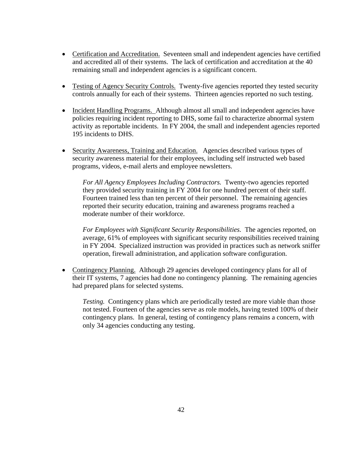- Certification and Accreditation. Seventeen small and independent agencies have certified and accredited all of their systems. The lack of certification and accreditation at the 40 remaining small and independent agencies is a significant concern.
- Testing of Agency Security Controls. Twenty-five agencies reported they tested security controls annually for each of their systems. Thirteen agencies reported no such testing.
- Incident Handling Programs. Although almost all small and independent agencies have policies requiring incident reporting to DHS, some fail to characterize abnormal system activity as reportable incidents. In FY 2004, the small and independent agencies reported 195 incidents to DHS.
- Security Awareness, Training and Education. Agencies described various types of security awareness material for their employees, including self instructed web based programs, videos, e-mail alerts and employee newsletters.

*For All Agency Employees Including Contractors.* Twenty-two agencies reported they provided security training in FY 2004 for one hundred percent of their staff. Fourteen trained less than ten percent of their personnel. The remaining agencies reported their security education, training and awareness programs reached a moderate number of their workforce.

*For Employees with Significant Security Responsibilities.* The agencies reported, on average, 61% of employees with significant security responsibilities received training in FY 2004. Specialized instruction was provided in practices such as network sniffer operation, firewall administration, and application software configuration.

• Contingency Planning. Although 29 agencies developed contingency plans for all of their IT systems, 7 agencies had done no contingency planning. The remaining agencies had prepared plans for selected systems.

*Testing.* Contingency plans which are periodically tested are more viable than those not tested. Fourteen of the agencies serve as role models, having tested 100% of their contingency plans.In general, testing of contingency plans remains a concern, with only 34 agencies conducting any testing.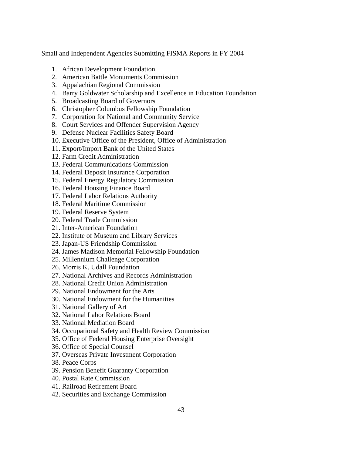Small and Independent Agencies Submitting FISMA Reports in FY 2004

- 1. African Development Foundation
- 2. American Battle Monuments Commission
- 3. Appalachian Regional Commission
- 4. Barry Goldwater Scholarship and Excellence in Education Foundation
- 5. Broadcasting Board of Governors
- 6. Christopher Columbus Fellowship Foundation
- 7. Corporation for National and Community Service
- 8. Court Services and Offender Supervision Agency
- 9. Defense Nuclear Facilities Safety Board
- 10. Executive Office of the President, Office of Administration
- 11. Export/Import Bank of the United States
- 12. Farm Credit Administration
- 13. Federal Communications Commission
- 14. Federal Deposit Insurance Corporation
- 15. Federal Energy Regulatory Commission
- 16. Federal Housing Finance Board
- 17. Federal Labor Relations Authority
- 18. Federal Maritime Commission
- 19. Federal Reserve System
- 20. Federal Trade Commission
- 21. Inter-American Foundation
- 22. Institute of Museum and Library Services
- 23. Japan-US Friendship Commission
- 24. James Madison Memorial Fellowship Foundation
- 25. Millennium Challenge Corporation
- 26. Morris K. Udall Foundation
- 27. National Archives and Records Administration
- 28. National Credit Union Administration
- 29. National Endowment for the Arts
- 30. National Endowment for the Humanities
- 31. National Gallery of Art
- 32. National Labor Relations Board
- 33. National Mediation Board
- 34. Occupational Safety and Health Review Commission
- 35. Office of Federal Housing Enterprise Oversight
- 36. Office of Special Counsel
- 37. Overseas Private Investment Corporation
- 38. Peace Corps
- 39. Pension Benefit Guaranty Corporation
- 40. Postal Rate Commission
- 41. Railroad Retirement Board
- 42. Securities and Exchange Commission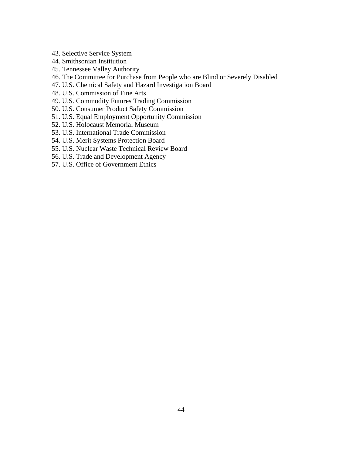- 43. Selective Service System
- 44. Smithsonian Institution
- 45. Tennessee Valley Authority
- 46. The Committee for Purchase from People who are Blind or Severely Disabled
- 47. U.S. Chemical Safety and Hazard Investigation Board
- 48. U.S. Commission of Fine Arts
- 49. U.S. Commodity Futures Trading Commission
- 50. U.S. Consumer Product Safety Commission
- 51. U.S. Equal Employment Opportunity Commission
- 52. U.S. Holocaust Memorial Museum
- 53. U.S. International Trade Commission
- 54. U.S. Merit Systems Protection Board
- 55. U.S. Nuclear Waste Technical Review Board
- 56. U.S. Trade and Development Agency
- 57. U.S. Office of Government Ethics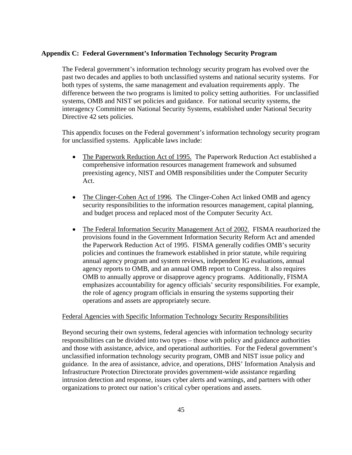## **Appendix C: Federal Government's Information Technology Security Program**

The Federal government's information technology security program has evolved over the past two decades and applies to both unclassified systems and national security systems. For both types of systems, the same management and evaluation requirements apply. The difference between the two programs is limited to policy setting authorities. For unclassified systems, OMB and NIST set policies and guidance. For national security systems, the interagency Committee on National Security Systems, established under National Security Directive 42 sets policies.

This appendix focuses on the Federal government's information technology security program for unclassified systems. Applicable laws include:

- The Paperwork Reduction Act of 1995. The Paperwork Reduction Act established a comprehensive information resources management framework and subsumed preexisting agency, NIST and OMB responsibilities under the Computer Security Act.
- The Clinger-Cohen Act of 1996. The Clinger-Cohen Act linked OMB and agency security responsibilities to the information resources management, capital planning, and budget process and replaced most of the Computer Security Act.
- The Federal Information Security Management Act of 2002. FISMA reauthorized the provisions found in the Government Information Security Reform Act and amended the Paperwork Reduction Act of 1995. FISMA generally codifies OMB's security policies and continues the framework established in prior statute, while requiring annual agency program and system reviews, independent IG evaluations, annual agency reports to OMB, and an annual OMB report to Congress. It also requires OMB to annually approve or disapprove agency programs. Additionally, FISMA emphasizes accountability for agency officials' security responsibilities. For example, the role of agency program officials in ensuring the systems supporting their operations and assets are appropriately secure.

## Federal Agencies with Specific Information Technology Security Responsibilities

Beyond securing their own systems, federal agencies with information technology security responsibilities can be divided into two types – those with policy and guidance authorities and those with assistance, advice, and operational authorities. For the Federal government's unclassified information technology security program, OMB and NIST issue policy and guidance. In the area of assistance, advice, and operations, DHS' Information Analysis and Infrastructure Protection Directorate provides government-wide assistance regarding intrusion detection and response, issues cyber alerts and warnings, and partners with other organizations to protect our nation's critical cyber operations and assets.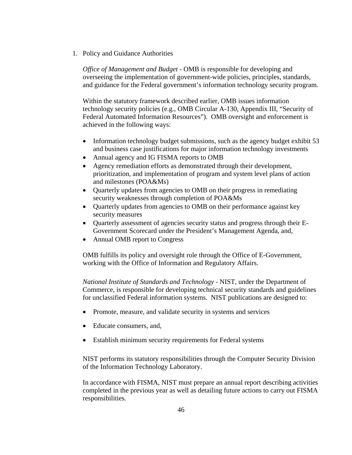1. Policy and Guidance Authorities

*Office of Management and Budget -* OMB is responsible for developing and overseeing the implementation of government-wide policies, principles, standards, and guidance for the Federal government's information technology security program.

Within the statutory framework described earlier, OMB issues information technology security policies (e.g., OMB Circular A-130, Appendix III, "Security of Federal Automated Information Resources"). OMB oversight and enforcement is achieved in the following ways:

- Information technology budget submissions, such as the agency budget exhibit 53 and business case justifications for major information technology investments
- Annual agency and IG FISMA reports to OMB
- Agency remediation efforts as demonstrated through their development, prioritization, and implementation of program and system level plans of action and milestones (POA&Ms)
- Quarterly updates from agencies to OMB on their progress in remediating security weaknesses through completion of POA&Ms
- Ouarterly updates from agencies to OMB on their performance against key security measures
- Quarterly assessment of agencies security status and progress through their E-Government Scorecard under the President's Management Agenda, and,
- Annual OMB report to Congress

OMB fulfills its policy and oversight role through the Office of E-Government, working with the Office of Information and Regulatory Affairs.

*National Institute of Standards and Technology -* NIST, under the Department of Commerce, is responsible for developing technical security standards and guidelines for unclassified Federal information systems. NIST publications are designed to:

- Promote, measure, and validate security in systems and services
- Educate consumers, and,
- Establish minimum security requirements for Federal systems

NIST performs its statutory responsibilities through the Computer Security Division of the Information Technology Laboratory.

In accordance with FISMA, NIST must prepare an annual report describing activities completed in the previous year as well as detailing future actions to carry out FISMA responsibilities.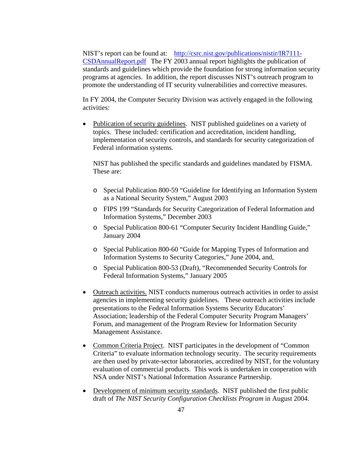NIST's report can be found at: [http://csrc.nist.gov/publications/nistir/IR7111-](http://csrc.nist.gov/publications/nistir/IR7111-CSDAnnualReport.pdf) [CSDAnnualReport.pdf](http://csrc.nist.gov/publications/nistir/IR7111-CSDAnnualReport.pdf) The FY 2003 annual report highlights the publication of standards and guidelines which provide the foundation for strong information security programs at agencies. In addition, the report discusses NIST's outreach program to promote the understanding of IT security vulnerabilities and corrective measures.

In FY 2004, the Computer Security Division was actively engaged in the following activities:

• Publication of security guidelines. NIST published guidelines on a variety of topics. These included: certification and accreditation, incident handling, implementation of security controls, and standards for security categorization of Federal information systems.

 NIST has published the specific standards and guidelines mandated by FISMA. These are:

- o Special Publication 800-59 "Guideline for Identifying an Information System as a National Security System," August 2003
- o FIPS 199 "Standards for Security Categorization of Federal Information and Information Systems," December 2003
- o Special Publication 800-61 "Computer Security Incident Handling Guide," January 2004
- o Special Publication 800-60 "Guide for Mapping Types of Information and Information Systems to Security Categories," June 2004, and,
- o Special Publication 800-53 (Draft), "Recommended Security Controls for Federal Information Systems," January 2005
- Outreach activities. NIST conducts numerous outreach activities in order to assist agencies in implementing security guidelines. These outreach activities include presentations to the Federal Information Systems Security Educators' Association; leadership of the Federal Computer Security Program Managers' Forum, and management of the Program Review for Information Security Management Assistance.
- Common Criteria Project. NIST participates in the development of "Common" Criteria" to evaluate information technology security. The security requirements are then used by private-sector laboratories, accredited by NIST, for the voluntary evaluation of commercial products. This work is undertaken in cooperation with NSA under NIST's National Information Assurance Partnership.
- Development of minimum security standards. NIST published the first public draft of *The NIST Security Configuration Checklists Program* in August 2004.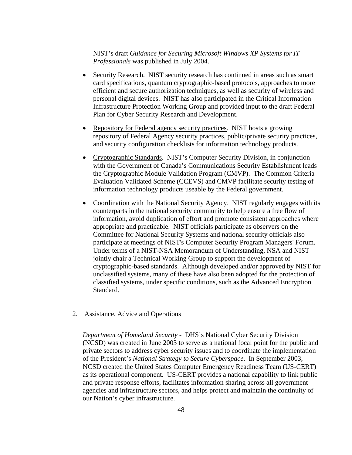## NIST's draft *Guidance for Securing Microsoft Windows XP Systems for IT Professionals* was published in July 2004.

- Security Research. NIST security research has continued in areas such as smart card specifications, quantum cryptographic-based protocols, approaches to more efficient and secure authorization techniques, as well as security of wireless and personal digital devices. NIST has also participated in the Critical Information Infrastructure Protection Working Group and provided input to the draft Federal Plan for Cyber Security Research and Development.
- Repository for Federal agency security practices. NIST hosts a growing repository of Federal Agency security practices, public/private security practices, and security configuration checklists for information technology products.
- Cryptographic Standards. NIST's Computer Security Division, in conjunction with the Government of Canada's Communications Security Establishment leads the Cryptographic Module Validation Program (CMVP). The Common Criteria Evaluation Validated Scheme (CCEVS) and CMVP facilitate security testing of information technology products useable by the Federal government.
- Coordination with the National Security Agency. NIST regularly engages with its counterparts in the national security community to help ensure a free flow of information, avoid duplication of effort and promote consistent approaches where appropriate and practicable. NIST officials participate as observers on the Committee for National Security Systems and national security officials also participate at meetings of NIST's Computer Security Program Managers' Forum. Under terms of a NIST-NSA Memorandum of Understanding, NSA and NIST jointly chair a Technical Working Group to support the development of cryptographic-based standards. Although developed and/or approved by NIST for unclassified systems, many of these have also been adopted for the protection of classified systems, under specific conditions, such as the Advanced Encryption Standard.
- 2. Assistance, Advice and Operations

*Department of Homeland Security -* DHS's National Cyber Security Division (NCSD) was created in June 2003 to serve as a national focal point for the public and private sectors to address cyber security issues and to coordinate the implementation of the President's *National Strategy to Secure Cyberspace*. In September 2003, NCSD created the United States Computer Emergency Readiness Team (US-CERT) as its operational component. US-CERT provides a national capability to link public and private response efforts, facilitates information sharing across all government agencies and infrastructure sectors, and helps protect and maintain the continuity of our Nation's cyber infrastructure.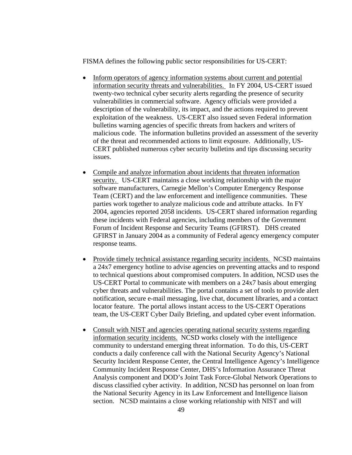FISMA defines the following public sector responsibilities for US-CERT:

- Inform operators of agency information systems about current and potential information security threats and vulnerabilities. In FY 2004, US-CERT issued twenty-two technical cyber security alerts regarding the presence of security vulnerabilities in commercial software. Agency officials were provided a description of the vulnerability, its impact, and the actions required to prevent exploitation of the weakness. US-CERT also issued seven Federal information bulletins warning agencies of specific threats from hackers and writers of malicious code. The information bulletins provided an assessment of the severity of the threat and recommended actions to limit exposure. Additionally, US-CERT published numerous cyber security bulletins and tips discussing security issues.
- Compile and analyze information about incidents that threaten information security. US-CERT maintains a close working relationship with the major software manufacturers, Carnegie Mellon's Computer Emergency Response Team (CERT) and the law enforcement and intelligence communities. These parties work together to analyze malicious code and attribute attacks. In FY 2004, agencies reported 2058 incidents. US-CERT shared information regarding these incidents with Federal agencies, including members of the Government Forum of Incident Response and Security Teams (GFIRST). DHS created GFIRST in January 2004 as a community of Federal agency emergency computer response teams.
- Provide timely technical assistance regarding security incidents. NCSD maintains a 24x7 emergency hotline to advise agencies on preventing attacks and to respond to technical questions about compromised computers. In addition, NCSD uses the US-CERT Portal to communicate with members on a 24x7 basis about emerging cyber threats and vulnerabilities. The portal contains a set of tools to provide alert notification, secure e-mail messaging, live chat, document libraries, and a contact locator feature. The portal allows instant access to the US-CERT Operations team, the US-CERT Cyber Daily Briefing, and updated cyber event information.
- Consult with NIST and agencies operating national security systems regarding information security incidents. NCSD works closely with the intelligence community to understand emerging threat information. To do this, US-CERT conducts a daily conference call with the National Security Agency's National Security Incident Response Center, the Central Intelligence Agency's Intelligence Community Incident Response Center, DHS's Information Assurance Threat Analysis component and DOD's Joint Task Force-Global Network Operations to discuss classified cyber activity. In addition, NCSD has personnel on loan from the National Security Agency in its Law Enforcement and Intelligence liaison section. NCSD maintains a close working relationship with NIST and will